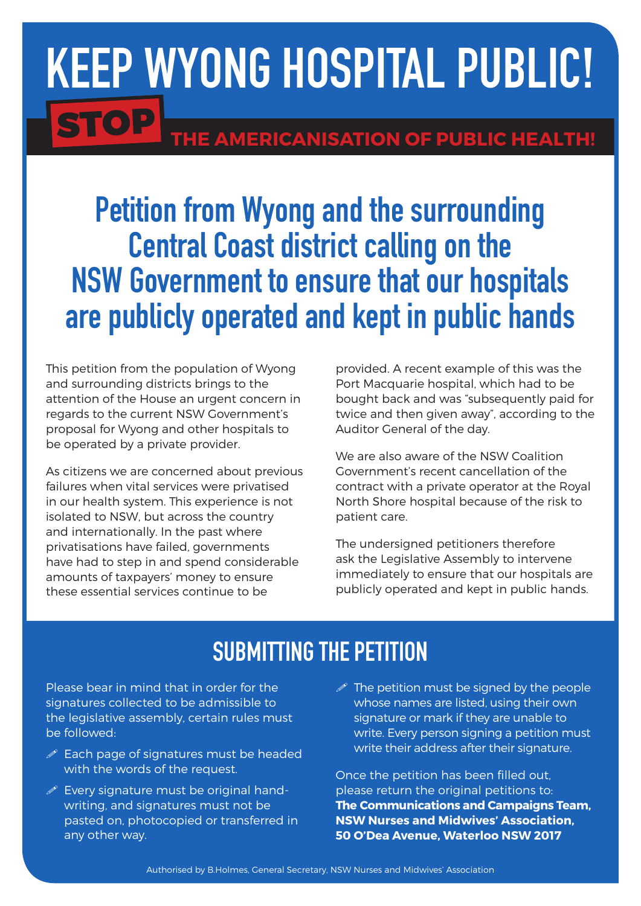## Keep Wyong Hospital Public! STOP THE AMERICANISATION OF PUBLIC HEALTH!

## Petition from Wyong and the surrounding Central Coast district calling on the NSW Government to ensure that our hospitals are publicly operated and kept in public hands

This petition from the population of Wyong and surrounding districts brings to the attention of the House an urgent concern in regards to the current NSW Government's proposal for Wyong and other hospitals to be operated by a private provider.

As citizens we are concerned about previous failures when vital services were privatised in our health system. This experience is not isolated to NSW, but across the country and internationally. In the past where privatisations have failed, governments have had to step in and spend considerable amounts of taxpayers' money to ensure these essential services continue to be

provided. A recent example of this was the Port Macquarie hospital, which had to be bought back and was "subsequently paid for twice and then given away", according to the Auditor General of the day.

We are also aware of the NSW Coalition Government's recent cancellation of the contract with a private operator at the Royal North Shore hospital because of the risk to patient care.

The undersigned petitioners therefore ask the Legislative Assembly to intervene immediately to ensure that our hospitals are publicly operated and kept in public hands.

## SUBMITTING THE PETITION

Please bear in mind that in order for the signatures collected to be admissible to the legislative assembly, certain rules must be followed:

- $\mathscr X$  Each page of signatures must be headed with the words of the request.
- $\mathscr{P}$  Every signature must be original handwriting, and signatures must not be pasted on, photocopied or transferred in any other way.
- $\mathscr P$  The petition must be signed by the people whose names are listed, using their own signature or mark if they are unable to write. Every person signing a petition must write their address after their signature.

Once the petition has been filled out, please return the original petitions to: **The Communications and Campaigns Team, NSW Nurses and Midwives' Association, 50 O'Dea Avenue, Waterloo NSW 2017**